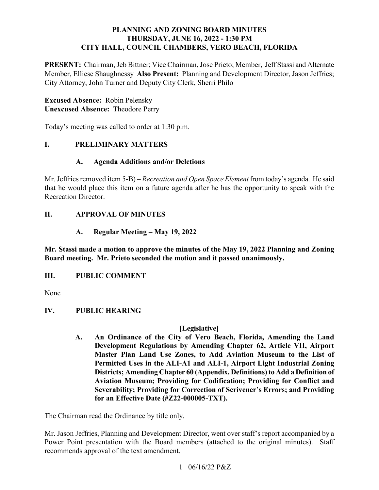### **PLANNING AND ZONING BOARD MINUTES THURSDAY, JUNE 16, 2022 - 1:30 PM CITY HALL, COUNCIL CHAMBERS, VERO BEACH, FLORIDA**

 **PRESENT:** Chairman, Jeb Bittner; Vice Chairman, Jose Prieto; Member, Jeff Stassi and Alternate Member, Elliese Shaughnessy **Also Present:** Planning and Development Director, Jason Jeffries; City Attorney, John Turner and Deputy City Clerk, Sherri Philo

# **Excused Absence:** Robin Pelensky  **Unexcused Absence:** Theodore Perry

Today's meeting was called to order at 1:30 p.m.

#### *<u>L</u>* **I. PRELIMINARY MATTERS**

### **A. Agenda Additions and/or Deletions**

 Mr. Jeffries removed item 5-B) – *Recreation and Open Space Element* from today's agenda. He said Recreation Director. that he would place this item on a future agenda after he has the opportunity to speak with the

## **II. APPROVAL OF MINUTES**

### **A. Regular Meeting – May 19, 2022**

 **Board meeting. Mr. Prieto seconded the motion and it passed unanimously. Mr. Stassi made a motion to approve the minutes of the May 19, 2022 Planning and Zoning** 

#### **III. III. PUBLIC COMMENT**

None

#### **IV. IV. PUBLIC HEARING**

### **[Legislative]**

 **A. An Ordinance of the City of Vero Beach, Florida, Amending the Land Master Plan Land Use Zones, to Add Aviation Museum to the List of Aviation Museum; Providing for Codification; Providing for Conflict and Severability; Providing for Correction of Scrivener's Errors; and Providing for an Effective Date (#Z22-000005-TXT). Development Regulations by Amending Chapter 62, Article VII, Airport Permitted Uses in the ALI-A1 and ALI-1, Airport Light Industrial Zoning Districts; Amending Chapter 60 (Appendix. Definitions) to Add a Definition of** 

The Chairman read the Ordinance by title only.

 Power Point presentation with the Board members (attached to the original minutes). Staff Mr. Jason Jeffries, Planning and Development Director, went over staff's report accompanied by a recommends approval of the text amendment.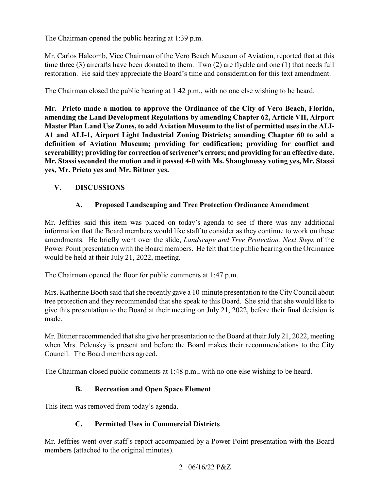The Chairman opened the public hearing at 1:39 p.m.

 time three (3) aircrafts have been donated to them. Two (2) are flyable and one (1) that needs full Mr. Carlos Halcomb, Vice Chairman of the Vero Beach Museum of Aviation, reported that at this restoration. He said they appreciate the Board's time and consideration for this text amendment.

The Chairman closed the public hearing at 1:42 p.m., with no one else wishing to be heard.

 **amending the Land Development Regulations by amending Chapter 62, Article VII, Airport severability; providing for correction of scrivener's errors; and providing for an effective date. Mr. Prieto made a motion to approve the Ordinance of the City of Vero Beach, Florida, Master Plan Land Use Zones, to add Aviation Museum to the list of permitted uses in the ALI-A1 and ALI-1, Airport Light Industrial Zoning Districts; amending Chapter 60 to add a definition of Aviation Museum; providing for codification; providing for conflict and Mr. Stassi seconded the motion and it passed 4-0 with Ms. Shaughnessy voting yes, Mr. Stassi yes, Mr. Prieto yes and Mr. Bittner yes.** 

# **V. DISCUSSIONS**

## **A. Proposed Landscaping and Tree Protection Ordinance Amendment**

 Mr. Jeffries said this item was placed on today's agenda to see if there was any additional information that the Board members would like staff to consider as they continue to work on these amendments. He briefly went over the slide, *Landscape and Tree Protection, Next Steps* of the Power Point presentation with the Board members. He felt that the public hearing on the Ordinance would be held at their July 21, 2022, meeting.

The Chairman opened the floor for public comments at 1:47 p.m.

 Mrs. Katherine Booth said that she recently gave a 10-minute presentation to the City Council about tree protection and they recommended that she speak to this Board. She said that she would like to give this presentation to the Board at their meeting on July 21, 2022, before their final decision is made.

Mr. Bittner recommended that she give her presentation to the Board at their July 21, 2022, meeting when Mrs. Pelensky is present and before the Board makes their recommendations to the City Council. The Board members agreed.

The Chairman closed public comments at 1:48 p.m., with no one else wishing to be heard.

### **B. Recreation and Open Space Element**

This item was removed from today's agenda.

# **C. Permitted Uses in Commercial Districts**

members (attached to the original minutes).<br>2 06/16/22 P&Z Mr. Jeffries went over staff's report accompanied by a Power Point presentation with the Board